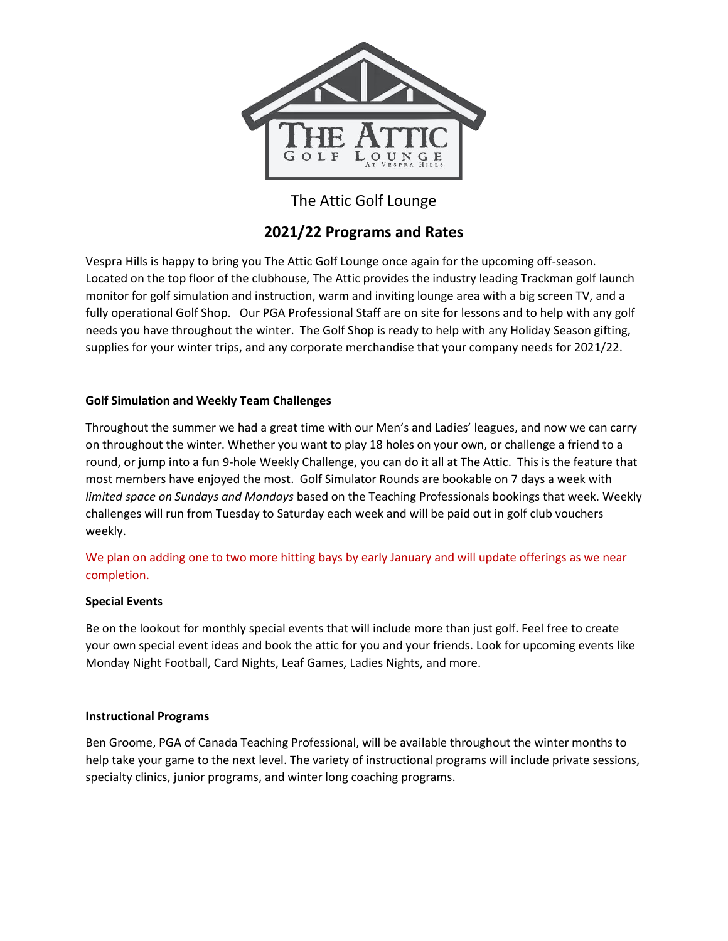

# The Attic Golf Lounge

## **2021/22 Programs and Rates**

Vespra Hills is happy to bring you The Attic Golf Lounge once again for the upcoming off-season. Located on the top floor of the clubhouse, The Attic provides the industry leading Trackman golf launch monitor for golf simulation and instruction, warm and inviting lounge area with a big screen TV, and a fully operational Golf Shop. Our PGA Professional Staff are on site for lessons and to help with any golf needs you have throughout the winter. The Golf Shop is ready to help with any Holiday Season gifting, supplies for your winter trips, and any corporate merchandise that your company needs for 2021/22.

## **Golf Simulation and Weekly Team Challenges**

Throughout the summer we had a great time with our Men's and Ladies' leagues, and now we can carry on throughout the winter. Whether you want to play 18 holes on your own, or challenge a friend to a round, or jump into a fun 9-hole Weekly Challenge, you can do it all at The Attic. This is the feature that most members have enjoyed the most. Golf Simulator Rounds are bookable on 7 days a week with *limited space on Sundays and Mondays* based on the Teaching Professionals bookings that week. Weekly challenges will run from Tuesday to Saturday each week and will be paid out in golf club vouchers weekly.

We plan on adding one to two more hitting bays by early January and will update offerings as we near completion.

### **Special Events**

Be on the lookout for monthly special events that will include more than just golf. Feel free to create your own special event ideas and book the attic for you and your friends. Look for upcoming events like Monday Night Football, Card Nights, Leaf Games, Ladies Nights, and more.

### **Instructional Programs**

Ben Groome, PGA of Canada Teaching Professional, will be available throughout the winter months to help take your game to the next level. The variety of instructional programs will include private sessions, specialty clinics, junior programs, and winter long coaching programs.